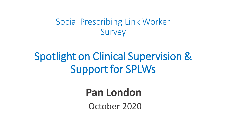#### Social Prescribing Link Worker Survey

# Spotlight on Clinical Supervision & Support for SPLWs

### **Pan London**

October 2020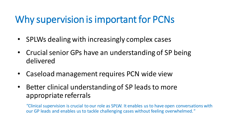### Why supervision is important for PCNs

- SPLWs dealing with increasingly complex cases
- Crucial senior GPs have an understanding of SP being delivered
- Caseload management requires PCN wide view
- Better clinical understanding of SP leads to more appropriate referrals

*"*Clinical supervision is crucial to our role as SPLW. It enables us to have open conversations with our GP leads and enables us to tackle challenging cases without feeling overwhelmed.*"*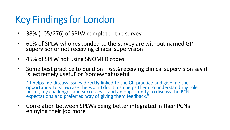## Key Findings for London

- 38% (105/276) of SPLW completed the survey
- 61% of SPLW who responded to the survey are without named GP supervisor or not receiving clinical supervision
- 45% of SPLW not using SNOMED codes
- Some best practice to build on 65% receiving clinical supervision say it is 'extremely useful' or 'somewhat useful'

"It helps me discuss issues directly linked to the GP practice and give me the opportunity to showcase the work I do. It also helps them to understand my role better, my challenges and successes... and an opportunity to discuss the PCN expectations and preferred way of giving them feedback."

• Correlation between SPLWs being better integrated in their PCNs enjoying their job more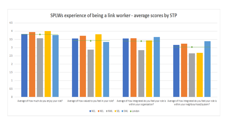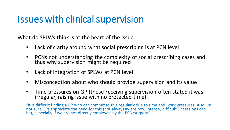### Issues with clinical supervision

What do SPLWs think is at the heart of the issue:

- Lack of clarity around what social prescribing is at PCN level
- PCNs not understanding the complexity of social prescribing cases and thus why supervision might be required
- Lack of integration of SPLWs at PCN level
- Misconception about who should provide supervision and its value
- Time pressures on GP (those receiving supervision often stated it was irregular, raising issue with no protected time)

"It is difficult finding a GP who can commit to this regularly due to time and work pressures. Also I'm not sure GPs appreciate the need for this (not always aware how intense, difficult SP sessions can be), especially if we are not directly employed by the PCN/surgery."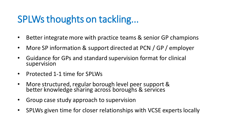### SPLWs thoughts on tackling...

- Better integrate more with practice teams & senior GP champions
- More SP information & support directed at PCN / GP / employer
- Guidance for GPs and standard supervision format for clinical supervision
- Protected 1-1 time for SPLWs
- More structured, regular borough level peer support & better knowledge sharing across boroughs & services
- Group case study approach to supervision
- SPLWs given time for closer relationships with VCSE experts locally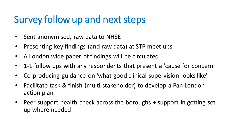### Survey follow up and next steps

- Sent anonymised, raw data to NHSE
- Presenting key findings (and raw data) at STP meet ups
- A London wide paper of findings will be circulated
- 1-1 follow ups with any respondents that present a 'cause for concern'
- Co-producing guidance on 'what good clinical supervision looks like'
- Facilitate task & finish (multi stakeholder) to develop a Pan London action plan
- Peer support health check across the boroughs + support in getting set up where needed